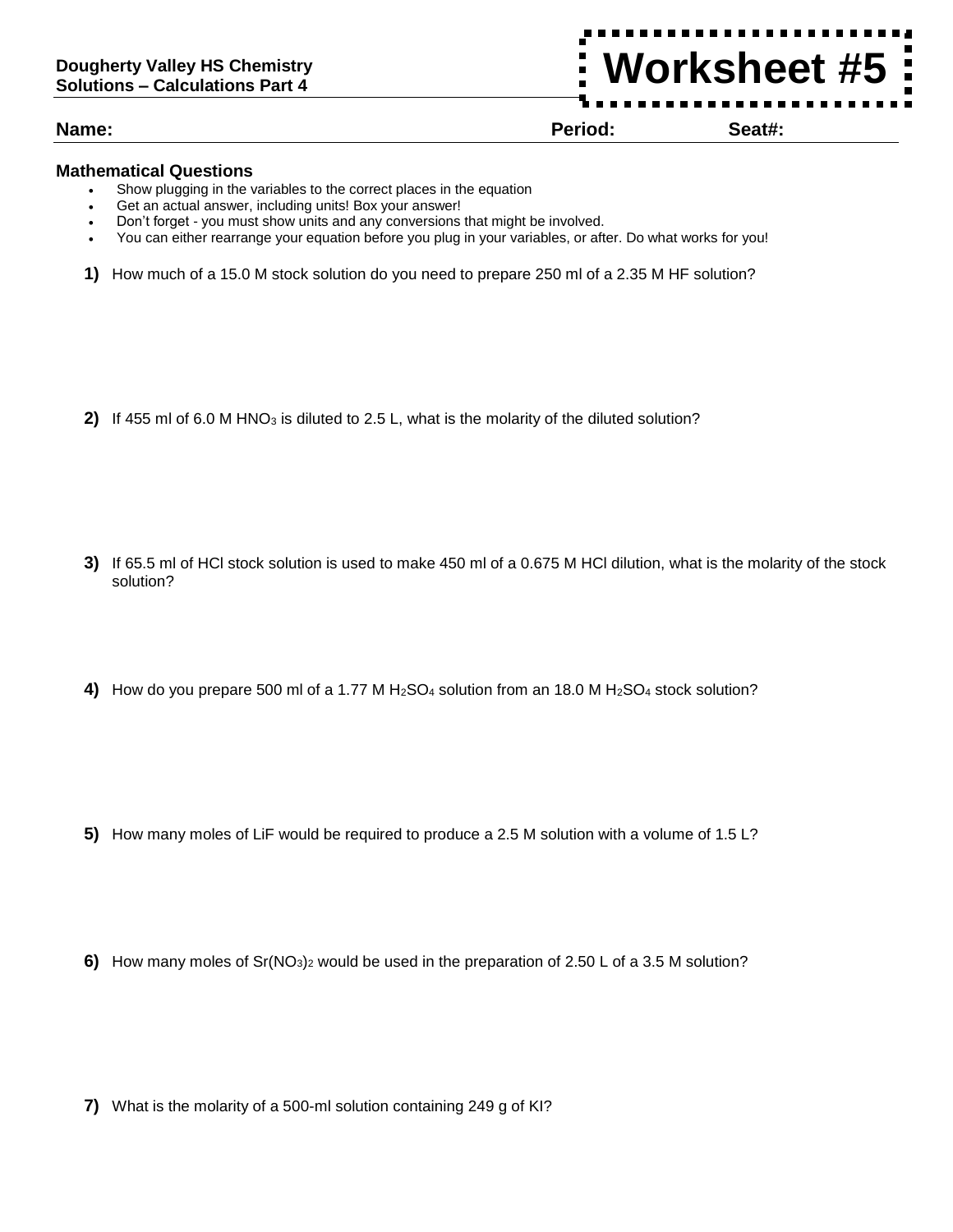## **Name: Period: Seat#:**

**Worksheet #5**

## **Mathematical Questions**

- Show plugging in the variables to the correct places in the equation
- Get an actual answer, including units! Box your answer!
- Don't forget you must show units and any conversions that might be involved.
- You can either rearrange your equation before you plug in your variables, or after. Do what works for you!
- **1)** How much of a 15.0 M stock solution do you need to prepare 250 ml of a 2.35 M HF solution?

**2)** If 455 ml of 6.0 M HNO<sub>3</sub> is diluted to 2.5 L, what is the molarity of the diluted solution?

- **3)** If 65.5 ml of HCl stock solution is used to make 450 ml of a 0.675 M HCl dilution, what is the molarity of the stock solution?
- **4)** How do you prepare 500 ml of a 1.77 M H<sub>2</sub>SO<sub>4</sub> solution from an 18.0 M H<sub>2</sub>SO<sub>4</sub> stock solution?

- **5)** How many moles of LiF would be required to produce a 2.5 M solution with a volume of 1.5 L?
- **6)** How many moles of Sr(NO<sub>3</sub>)<sub>2</sub> would be used in the preparation of 2.50 L of a 3.5 M solution?

**7)** What is the molarity of a 500-ml solution containing 249 g of KI?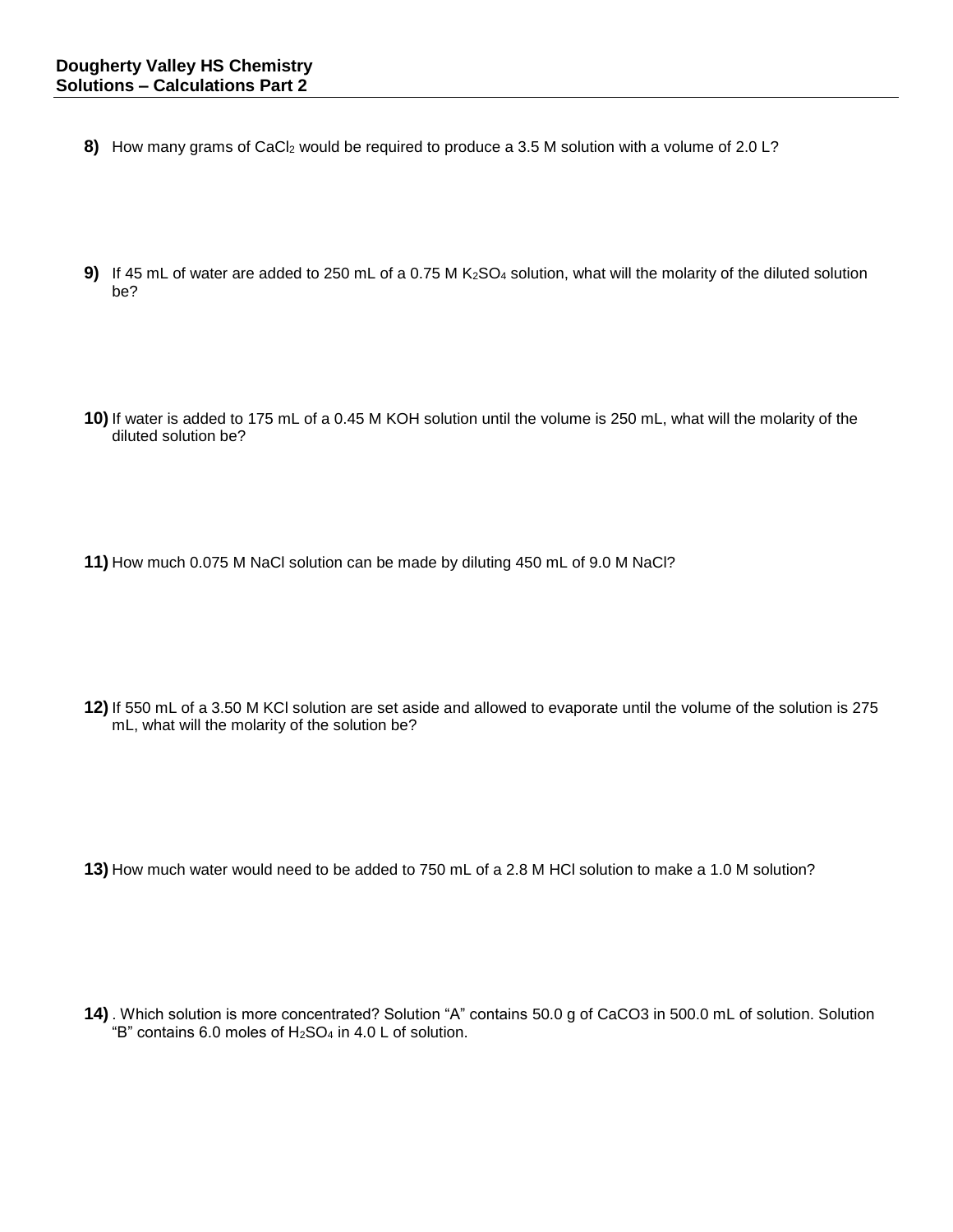- 8) How many grams of CaCl<sub>2</sub> would be required to produce a 3.5 M solution with a volume of 2.0 L?
- **9)** If 45 mL of water are added to 250 mL of a 0.75 M K<sub>2</sub>SO<sub>4</sub> solution, what will the molarity of the diluted solution be?
- **10)** If water is added to 175 mL of a 0.45 M KOH solution until the volume is 250 mL, what will the molarity of the diluted solution be?
- **11)** How much 0.075 M NaCl solution can be made by diluting 450 mL of 9.0 M NaCl?

**12)** If 550 mL of a 3.50 M KCl solution are set aside and allowed to evaporate until the volume of the solution is 275 mL, what will the molarity of the solution be?

**13)** How much water would need to be added to 750 mL of a 2.8 M HCl solution to make a 1.0 M solution?

**14)** . Which solution is more concentrated? Solution "A" contains 50.0 g of CaCO3 in 500.0 mL of solution. Solution "B" contains 6.0 moles of H2SO<sup>4</sup> in 4.0 L of solution.